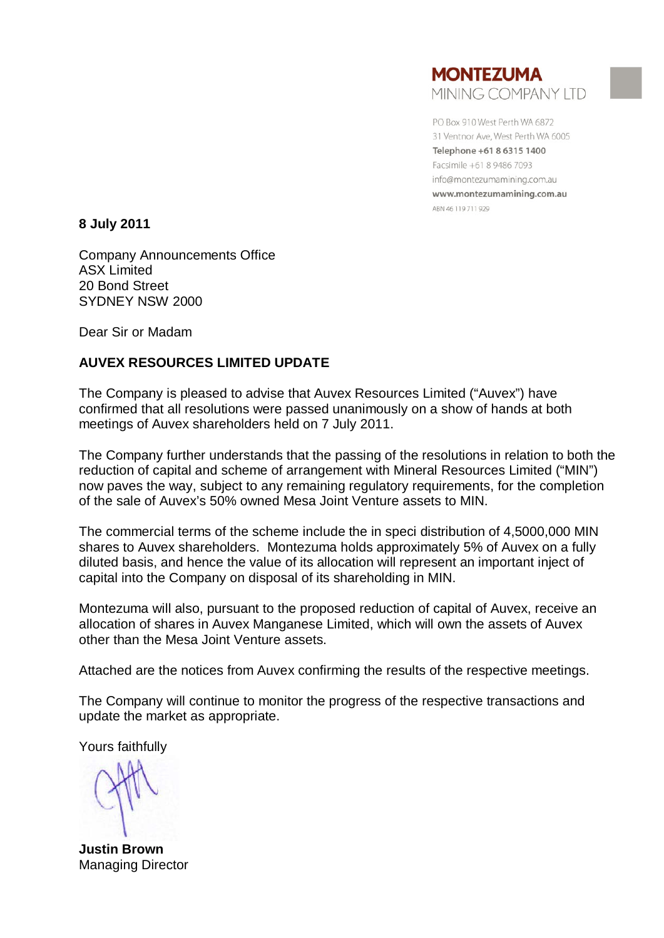

PO Box 910 West Perth WA 6872 31 Ventnor Ave, West Perth WA 6005 Telephone +61 8 6315 1400 Facsimile +61 8 9486 7093 info@montezumamining.com.au www.montezumamining.com.au ABN 46 119 711 929

**8 July 2011**

Company Announcements Office ASX Limited 20 Bond Street SYDNEY NSW 2000

Dear Sir or Madam

# **AUVEX RESOURCES LIMITED UPDATE**

The Company is pleased to advise that Auvex Resources Limited ("Auvex") have confirmed that all resolutions were passed unanimously on a show of hands at both meetings of Auvex shareholders held on 7 July 2011.

The Company further understands that the passing of the resolutions in relation to both the reduction of capital and scheme of arrangement with Mineral Resources Limited ("MIN") now paves the way, subject to any remaining regulatory requirements, for the completion of the sale of Auvex's 50% owned Mesa Joint Venture assets to MIN.

The commercial terms of the scheme include the in speci distribution of 4,5000,000 MIN shares to Auvex shareholders. Montezuma holds approximately 5% of Auvex on a fully diluted basis, and hence the value of its allocation will represent an important inject of capital into the Company on disposal of its shareholding in MIN.

Montezuma will also, pursuant to the proposed reduction of capital of Auvex, receive an allocation of shares in Auvex Manganese Limited, which will own the assets of Auvex other than the Mesa Joint Venture assets.

Attached are the notices from Auvex confirming the results of the respective meetings.

The Company will continue to monitor the progress of the respective transactions and update the market as appropriate.

Yours faithfully

**Justin Brown** Managing Director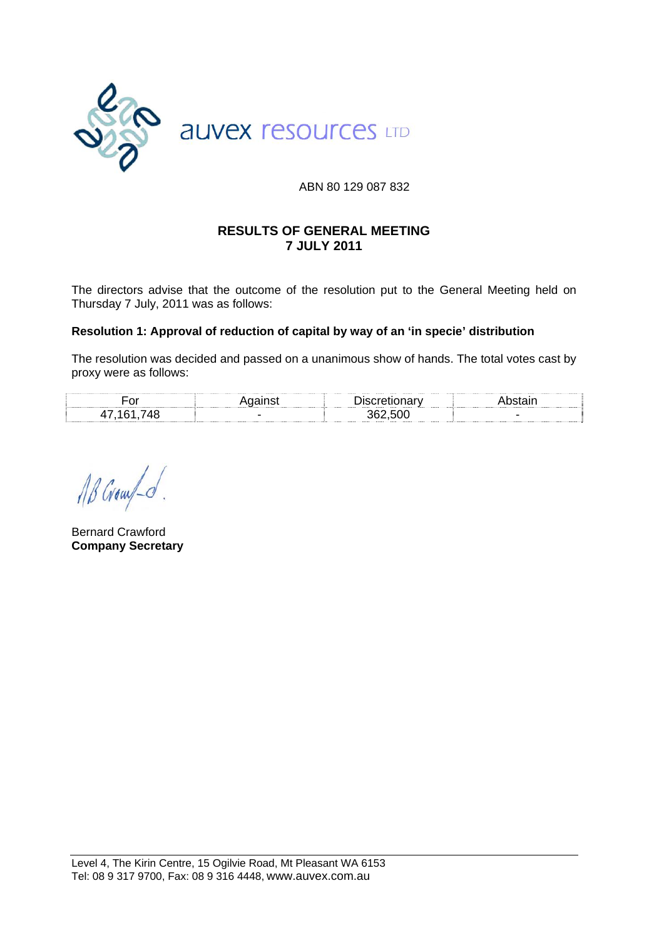

### ABN 80 129 087 832

### **RESULTS OF GENERAL MEETING 7 JULY 2011**

The directors advise that the outcome of the resolution put to the General Meeting held on Thursday 7 July, 2011 was as follows:

#### **Resolution 1: Approval of reduction of capital by way of an 'in specie' distribution**

The resolution was decided and passed on a unanimous show of hands. The total votes cast by proxy were as follows:

| OL |       |  |
|----|-------|--|
|    | 36250 |  |

AB Grow o.

Bernard Crawford **Company Secretary**